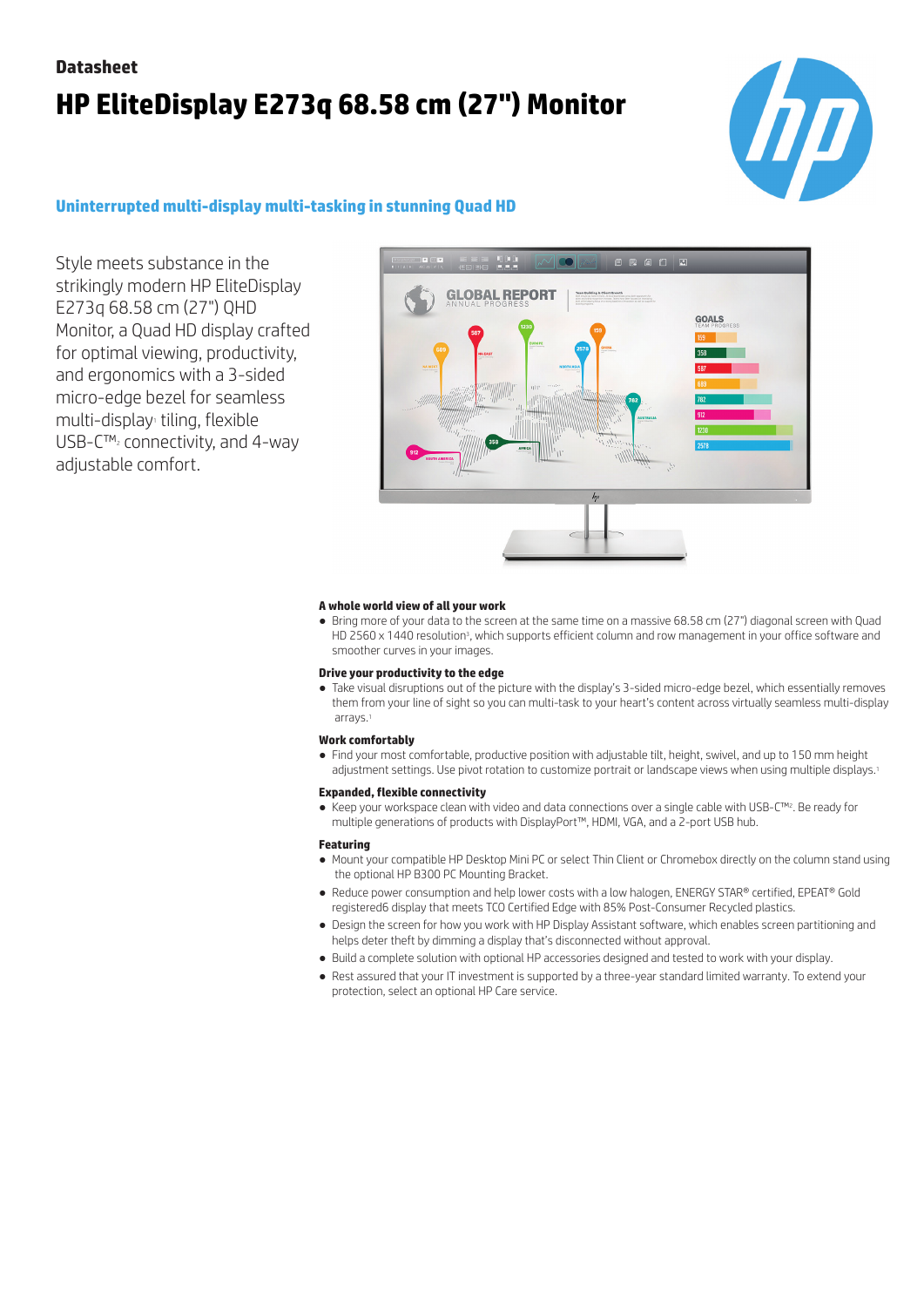# **Datasheet HP EliteDisplay E273q 68.58 cm (27") Monitor**



### **Uninterrupted multi-display multi-tasking in stunning Quad HD**

Style meets substance in the strikingly modern HP EliteDisplay E273q 68.58 cm (27") QHD Monitor, a Quad HD display crafted for optimal viewing, productivity, and ergonomics with a 3-sided micro-edge bezel for seamless multi-display<sub>1</sub> tiling, flexible USB-C™2 connectivity, and 4-way adjustable comfort.



### **A whole world view of all your work**

● Bring more of your data to the screen at the same time on a massive 68.58 cm (27") diagonal screen with Quad HD 2560 x 1440 resolution<sup>3</sup> , which supports efficient column and row management in your office software and smoother curves in your images.

### **Drive your productivity to the edge**

● Take visual disruptions out of the picture with the display's 3-sided micro-edge bezel, which essentially removes them from your line of sight so you can multi-task to your heart's content across virtually seamless multi-display arrays.

### **Work comfortably**

● Find your most comfortable, productive position with adjustable tilt, height, swivel, and up to 150 mm height adjustment settings. Use pivot rotation to customize portrait or landscape views when using multiple displays.<sup>1</sup>

#### **Expanded, flexible connectivity**

● Keep your workspace clean with video and data connections over a single cable with USB-C™2. Be ready for multiple generations of products with DisplayPort™, HDMI, VGA, and a 2-port USB hub.

### **Featuring**

- Mount your compatible HP Desktop Mini PC or select Thin Client or Chromebox directly on the column stand using the optional HP B300 PC Mounting Bracket.
- Reduce power consumption and help lower costs with a low halogen, ENERGY STAR® certified, EPEAT® Gold registered6 display that meets TCO Certified Edge with 85% Post-Consumer Recycled plastics.
- Design the screen for how you work with HP Display Assistant software, which enables screen partitioning and helps deter theft by dimming a display that's disconnected without approval.
- Build a complete solution with optional HP accessories designed and tested to work with your display.
- Rest assured that your IT investment is supported by a three-year standard limited warranty. To extend your protection, select an optional HP Care service.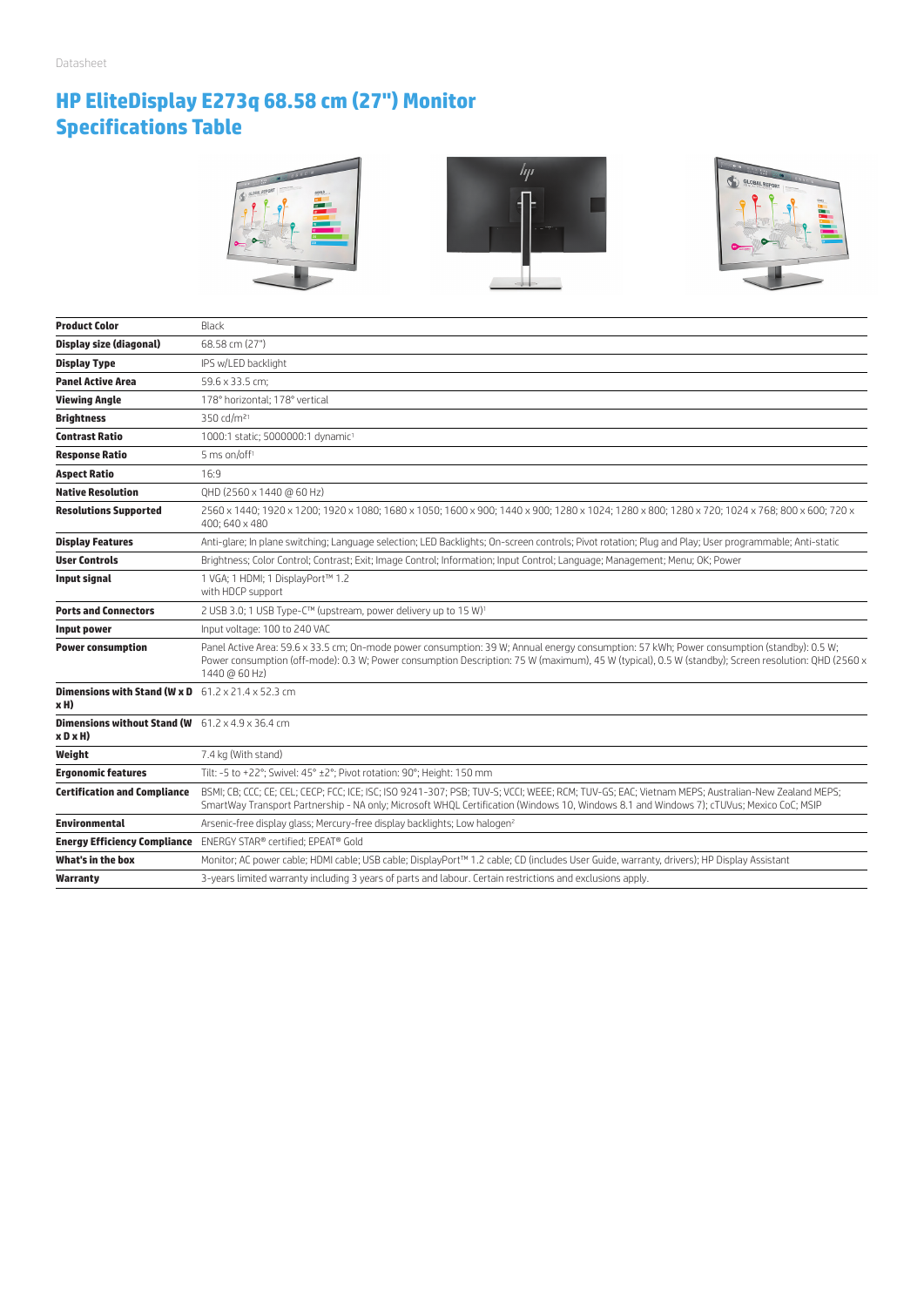## **HP EliteDisplay E273q 68.58 cm (27") Monitor Specifications Table**



| <b>Product Color</b>                                                            | Black                                                                                                                                                                                                                                                                                                              |
|---------------------------------------------------------------------------------|--------------------------------------------------------------------------------------------------------------------------------------------------------------------------------------------------------------------------------------------------------------------------------------------------------------------|
| <b>Display size (diagonal)</b>                                                  | 68.58 cm (27")                                                                                                                                                                                                                                                                                                     |
| <b>Display Type</b>                                                             | IPS w/LED backlight                                                                                                                                                                                                                                                                                                |
| <b>Panel Active Area</b>                                                        | 59.6 x 33.5 cm:                                                                                                                                                                                                                                                                                                    |
| <b>Viewing Angle</b>                                                            | 178° horizontal: 178° vertical                                                                                                                                                                                                                                                                                     |
| <b>Brightness</b>                                                               | 350 cd/m <sup>21</sup>                                                                                                                                                                                                                                                                                             |
| Contrast Ratio                                                                  | 1000:1 static; 5000000:1 dynamic <sup>1</sup>                                                                                                                                                                                                                                                                      |
| <b>Response Ratio</b>                                                           | 5 ms on/off <sup>1</sup>                                                                                                                                                                                                                                                                                           |
| <b>Aspect Ratio</b>                                                             | 16:9                                                                                                                                                                                                                                                                                                               |
| <b>Native Resolution</b>                                                        | QHD (2560 x 1440 @ 60 Hz)                                                                                                                                                                                                                                                                                          |
| <b>Resolutions Supported</b>                                                    | 2560 x 1440; 1920 x 1200; 1920 x 1080; 1680 x 1050; 1600 x 900; 1440 x 900; 1280 x 1024; 1280 x 800; 1280 x 720; 1024 x 768; 800 x 600; 720 x<br>400; 640 x 480                                                                                                                                                    |
| <b>Display Features</b>                                                         | Anti-glare; In plane switching; Language selection; LED Backlights; On-screen controls; Pivot rotation; Plug and Play; User programmable; Anti-static                                                                                                                                                              |
| <b>User Controls</b>                                                            | Brightness; Color Control; Contrast; Exit; Image Control; Information; Input Control; Language; Management; Menu; OK; Power                                                                                                                                                                                        |
| <b>Input signal</b>                                                             | 1 VGA; 1 HDMI; 1 DisplayPort™ 1.2<br>with HDCP support                                                                                                                                                                                                                                                             |
| <b>Ports and Connectors</b>                                                     | 2 USB 3.0; 1 USB Type-C™ (upstream, power delivery up to 15 W) <sup>1</sup>                                                                                                                                                                                                                                        |
| Input power                                                                     | Input voltage: 100 to 240 VAC                                                                                                                                                                                                                                                                                      |
| <b>Power consumption</b>                                                        | Panel Active Area: 59.6 x 33.5 cm; On-mode power consumption: 39 W; Annual energy consumption: 57 kWh; Power consumption (standby): 0.5 W;<br>Power consumption (off-mode): 0.3 W; Power consumption Description: 75 W (maximum), 45 W (typical), 0.5 W (standby); Screen resolution: QHD (2560 x<br>1440 @ 60 Hz) |
| <b>Dimensions with Stand (W x D</b> $-61.2 \times 21.4 \times 52.3$ cm<br>xH)   |                                                                                                                                                                                                                                                                                                                    |
| <b>Dimensions without Stand (W</b> $61.2 \times 4.9 \times 36.4$ cm<br>x D x H) |                                                                                                                                                                                                                                                                                                                    |
| Weight                                                                          | 7.4 kg (With stand)                                                                                                                                                                                                                                                                                                |
| <b>Ergonomic features</b>                                                       | Tilt: -5 to +22°; Swivel: 45° ±2°; Pivot rotation: 90°; Height: 150 mm                                                                                                                                                                                                                                             |
| <b>Certification and Compliance</b>                                             | BSMI; CB; CCC; CE; CEL; CECP; FCC; ICE; ISC; ISO 9241-307; PSB; TUV-S; VCCI; WEEE; RCM; TUV-GS; EAC; Vietnam MEPS; Australian-New Zealand MEPS;<br>SmartWay Transport Partnership - NA only; Microsoft WHQL Certification (Windows 10, Windows 8.1 and Windows 7); cTUVus; Mexico CoC; MSIP                        |
| <b>Environmental</b>                                                            | Arsenic-free display glass; Mercury-free display backlights; Low halogen <sup>2</sup>                                                                                                                                                                                                                              |
|                                                                                 | <b>Energy Efficiency Compliance</b> ENERGY STAR® certified; EPEAT® Gold                                                                                                                                                                                                                                            |
| What's in the box                                                               | Monitor; AC power cable; HDMI cable; USB cable; DisplayPort™ 1.2 cable; CD (includes User Guide, warranty, drivers); HP Display Assistant                                                                                                                                                                          |
| Warranty                                                                        | 3-years limited warranty including 3 years of parts and labour. Certain restrictions and exclusions apply.                                                                                                                                                                                                         |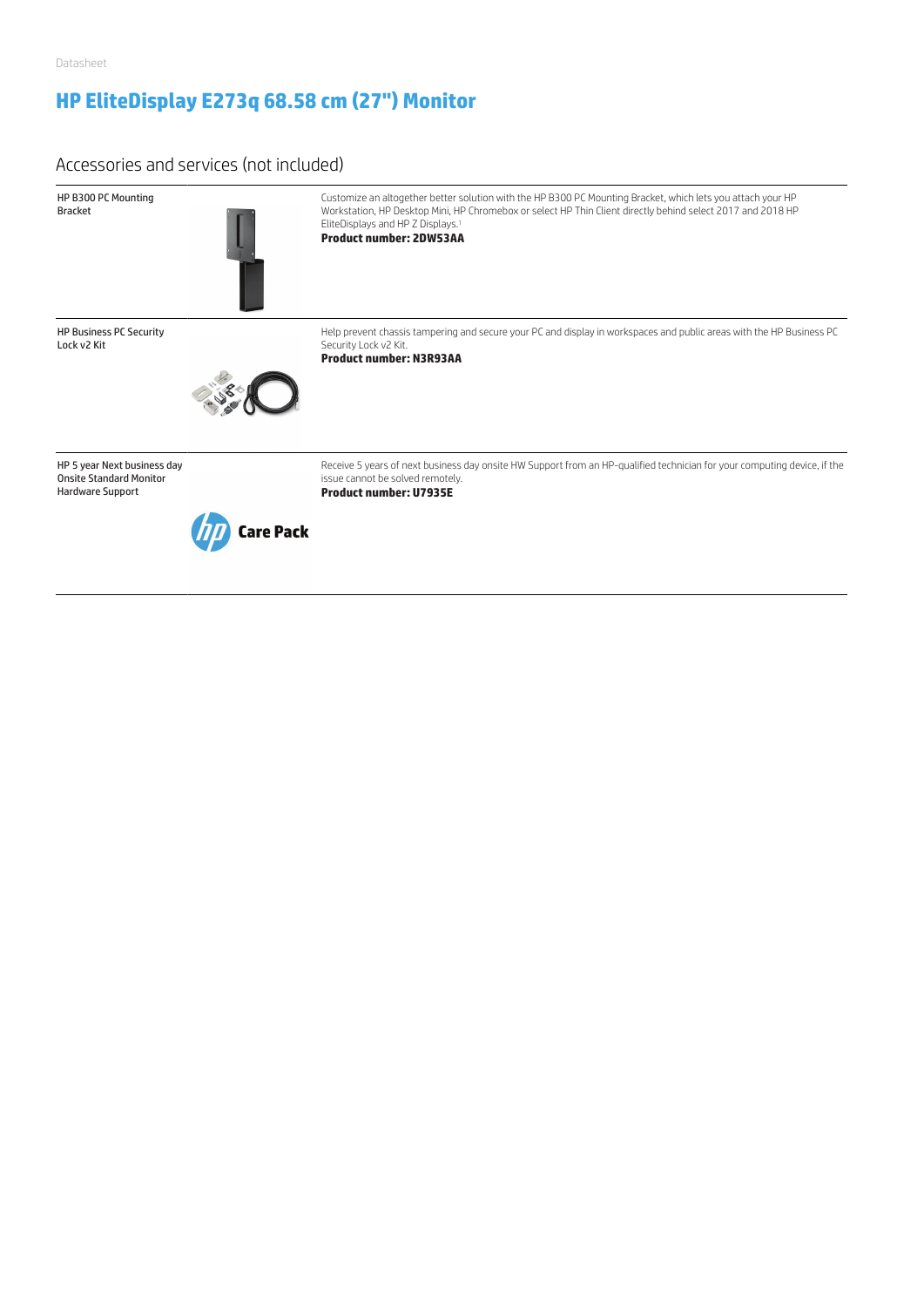### **HP EliteDisplay E273q 68.58 cm (27") Monitor**

### Accessories and services (not included)